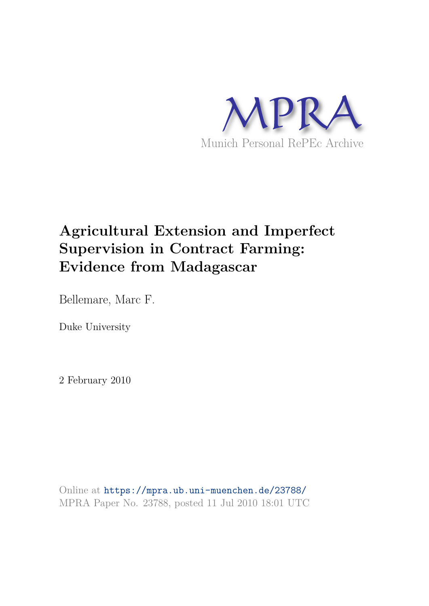

# **Agricultural Extension and Imperfect Supervision in Contract Farming: Evidence from Madagascar**

Bellemare, Marc F.

Duke University

2 February 2010

Online at https://mpra.ub.uni-muenchen.de/23788/ MPRA Paper No. 23788, posted 11 Jul 2010 18:01 UTC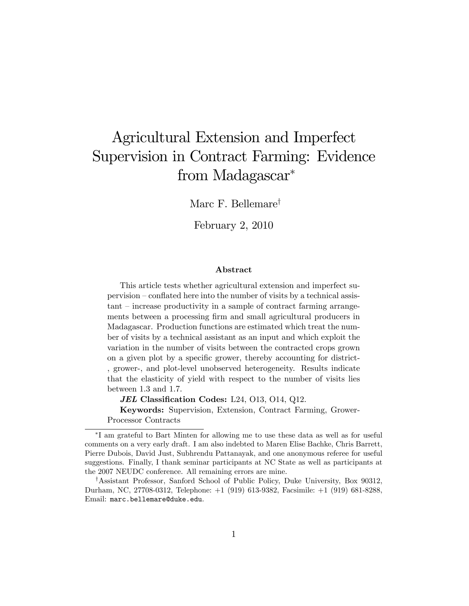# Agricultural Extension and Imperfect Supervision in Contract Farming: Evidence from Madagascar

Marc F. Bellemare<sup>†</sup>

February 2, 2010

#### Abstract

This article tests whether agricultural extension and imperfect su $pervision$  – conflated here into the number of visits by a technical assis $tant - increase$  productivity in a sample of contract farming arrangements between a processing firm and small agricultural producers in Madagascar. Production functions are estimated which treat the number of visits by a technical assistant as an input and which exploit the variation in the number of visits between the contracted crops grown on a given plot by a specific grower, thereby accounting for district-, grower-, and plot-level unobserved heterogeneity. Results indicate that the elasticity of yield with respect to the number of visits lies between 1.3 and 1.7.

JEL Classification Codes: L24,  $013$ ,  $014$ ,  $012$ .

Keywords: Supervision, Extension, Contract Farming, Grower-Processor Contracts

I am grateful to Bart Minten for allowing me to use these data as well as for useful comments on a very early draft. I am also indebted to Maren Elise Bachke, Chris Barrett, Pierre Dubois, David Just, Subhrendu Pattanayak, and one anonymous referee for useful suggestions. Finally, I thank seminar participants at NC State as well as participants at the 2007 NEUDC conference. All remaining errors are mine.

<sup>&</sup>lt;sup>†</sup>Assistant Professor, Sanford School of Public Policy, Duke University, Box 90312, Durham, NC, 27708-0312, Telephone: +1 (919) 613-9382, Facsimile: +1 (919) 681-8288, Email: marc.bellemare@duke.edu.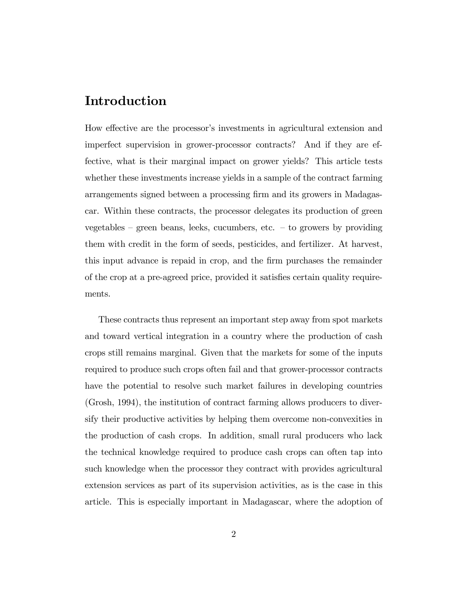## Introduction

How effective are the processor's investments in agricultural extension and imperfect supervision in grower-processor contracts? And if they are effective, what is their marginal impact on grower yields? This article tests whether these investments increase yields in a sample of the contract farming arrangements signed between a processing firm and its growers in Madagascar. Within these contracts, the processor delegates its production of green vegetables  $-$  green beans, leeks, cucumbers, etc.  $-$  to growers by providing them with credit in the form of seeds, pesticides, and fertilizer. At harvest, this input advance is repaid in crop, and the Örm purchases the remainder of the crop at a pre-agreed price, provided it satisfies certain quality requirements.

These contracts thus represent an important step away from spot markets and toward vertical integration in a country where the production of cash crops still remains marginal. Given that the markets for some of the inputs required to produce such crops often fail and that grower-processor contracts have the potential to resolve such market failures in developing countries (Grosh, 1994), the institution of contract farming allows producers to diversify their productive activities by helping them overcome non-convexities in the production of cash crops. In addition, small rural producers who lack the technical knowledge required to produce cash crops can often tap into such knowledge when the processor they contract with provides agricultural extension services as part of its supervision activities, as is the case in this article. This is especially important in Madagascar, where the adoption of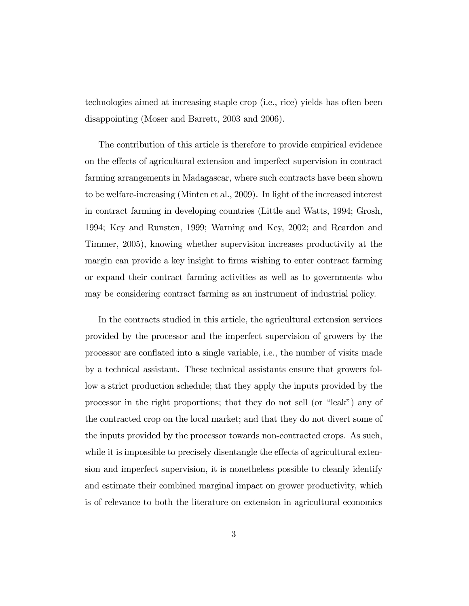technologies aimed at increasing staple crop (i.e., rice) yields has often been disappointing (Moser and Barrett, 2003 and 2006).

The contribution of this article is therefore to provide empirical evidence on the effects of agricultural extension and imperfect supervision in contract farming arrangements in Madagascar, where such contracts have been shown to be welfare-increasing (Minten et al., 2009). In light of the increased interest in contract farming in developing countries (Little and Watts, 1994; Grosh, 1994; Key and Runsten, 1999; Warning and Key, 2002; and Reardon and Timmer, 2005), knowing whether supervision increases productivity at the margin can provide a key insight to firms wishing to enter contract farming or expand their contract farming activities as well as to governments who may be considering contract farming as an instrument of industrial policy.

In the contracts studied in this article, the agricultural extension services provided by the processor and the imperfect supervision of growers by the processor are conáated into a single variable, i.e., the number of visits made by a technical assistant. These technical assistants ensure that growers follow a strict production schedule; that they apply the inputs provided by the processor in the right proportions; that they do not sell (or "leak") any of the contracted crop on the local market; and that they do not divert some of the inputs provided by the processor towards non-contracted crops. As such, while it is impossible to precisely disentangle the effects of agricultural extension and imperfect supervision, it is nonetheless possible to cleanly identify and estimate their combined marginal impact on grower productivity, which is of relevance to both the literature on extension in agricultural economics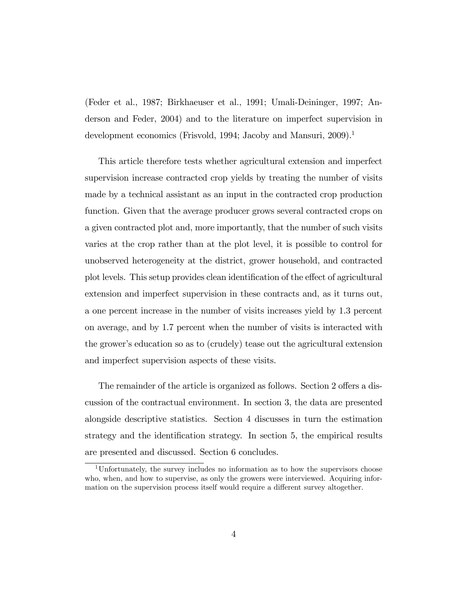(Feder et al., 1987; Birkhaeuser et al., 1991; Umali-Deininger, 1997; Anderson and Feder, 2004) and to the literature on imperfect supervision in development economics (Frisvold, 1994; Jacoby and Mansuri, 2009).<sup>1</sup>

This article therefore tests whether agricultural extension and imperfect supervision increase contracted crop yields by treating the number of visits made by a technical assistant as an input in the contracted crop production function. Given that the average producer grows several contracted crops on a given contracted plot and, more importantly, that the number of such visits varies at the crop rather than at the plot level, it is possible to control for unobserved heterogeneity at the district, grower household, and contracted plot levels. This setup provides clean identification of the effect of agricultural extension and imperfect supervision in these contracts and, as it turns out, a one percent increase in the number of visits increases yield by 1.3 percent on average, and by 1.7 percent when the number of visits is interacted with the growerís education so as to (crudely) tease out the agricultural extension and imperfect supervision aspects of these visits.

The remainder of the article is organized as follows. Section 2 offers a discussion of the contractual environment. In section 3, the data are presented alongside descriptive statistics. Section 4 discusses in turn the estimation strategy and the identification strategy. In section 5, the empirical results are presented and discussed. Section 6 concludes.

<sup>1</sup>Unfortunately, the survey includes no information as to how the supervisors choose who, when, and how to supervise, as only the growers were interviewed. Acquiring information on the supervision process itself would require a different survey altogether.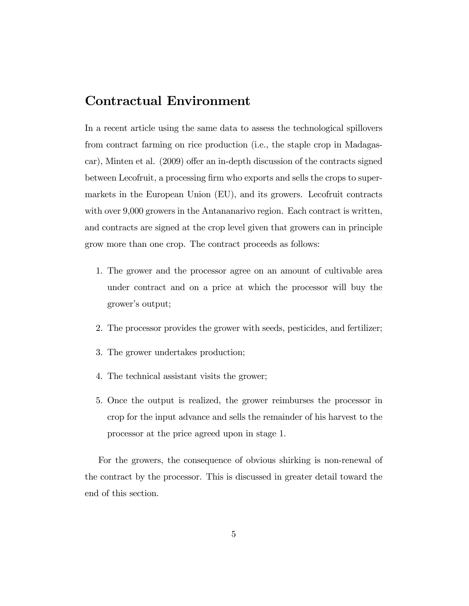# Contractual Environment

In a recent article using the same data to assess the technological spillovers from contract farming on rice production (i.e., the staple crop in Madagascar), Minten et al.  $(2009)$  offer an in-depth discussion of the contracts signed between Lecofruit, a processing firm who exports and sells the crops to supermarkets in the European Union (EU), and its growers. Lecofruit contracts with over 9,000 growers in the Antananarivo region. Each contract is written, and contracts are signed at the crop level given that growers can in principle grow more than one crop. The contract proceeds as follows:

- 1. The grower and the processor agree on an amount of cultivable area under contract and on a price at which the processor will buy the grower's output;
- 2. The processor provides the grower with seeds, pesticides, and fertilizer;
- 3. The grower undertakes production;
- 4. The technical assistant visits the grower;
- 5. Once the output is realized, the grower reimburses the processor in crop for the input advance and sells the remainder of his harvest to the processor at the price agreed upon in stage 1.

For the growers, the consequence of obvious shirking is non-renewal of the contract by the processor. This is discussed in greater detail toward the end of this section.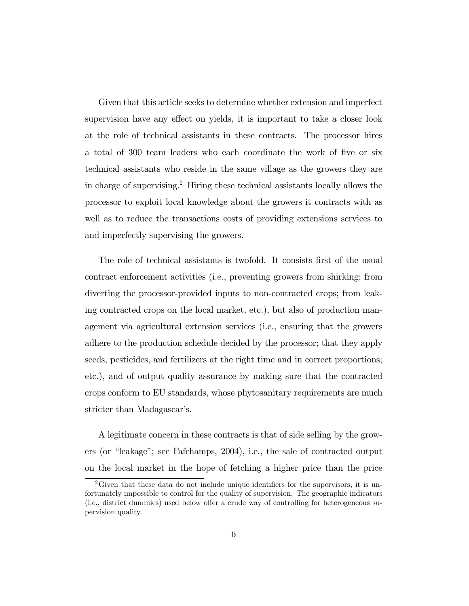Given that this article seeks to determine whether extension and imperfect supervision have any effect on yields, it is important to take a closer look at the role of technical assistants in these contracts. The processor hires a total of 300 team leaders who each coordinate the work of five or six technical assistants who reside in the same village as the growers they are in charge of supervising.<sup>2</sup> Hiring these technical assistants locally allows the processor to exploit local knowledge about the growers it contracts with as well as to reduce the transactions costs of providing extensions services to and imperfectly supervising the growers.

The role of technical assistants is twofold. It consists first of the usual contract enforcement activities (i.e., preventing growers from shirking; from diverting the processor-provided inputs to non-contracted crops; from leaking contracted crops on the local market, etc.), but also of production management via agricultural extension services (i.e., ensuring that the growers adhere to the production schedule decided by the processor; that they apply seeds, pesticides, and fertilizers at the right time and in correct proportions; etc.), and of output quality assurance by making sure that the contracted crops conform to EU standards, whose phytosanitary requirements are much stricter than Madagascar's.

A legitimate concern in these contracts is that of side selling by the growers (or "leakage"; see Fafchamps,  $2004$ ), i.e., the sale of contracted output on the local market in the hope of fetching a higher price than the price

<sup>&</sup>lt;sup>2</sup>Given that these data do not include unique identifiers for the supervisors, it is unfortunately impossible to control for the quality of supervision. The geographic indicators  $(i.e.,$  district dummies) used below offer a crude way of controlling for heterogeneous supervision quality.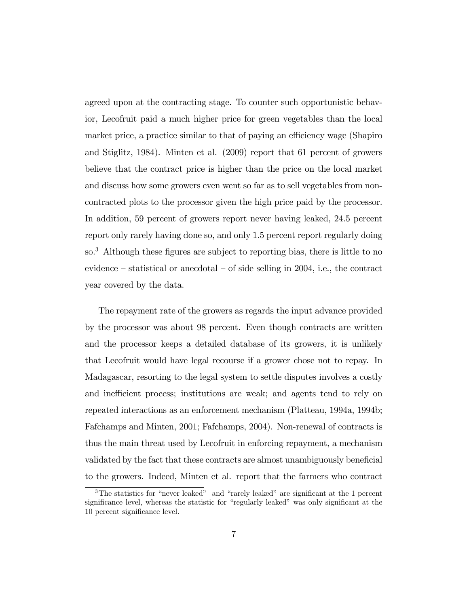agreed upon at the contracting stage. To counter such opportunistic behavior, Lecofruit paid a much higher price for green vegetables than the local market price, a practice similar to that of paying an efficiency wage (Shapiro and Stiglitz, 1984). Minten et al. (2009) report that 61 percent of growers believe that the contract price is higher than the price on the local market and discuss how some growers even went so far as to sell vegetables from noncontracted plots to the processor given the high price paid by the processor. In addition, 59 percent of growers report never having leaked, 24.5 percent report only rarely having done so, and only 1.5 percent report regularly doing so.<sup>3</sup> Although these figures are subject to reporting bias, there is little to no evidence  $-$  statistical or anecdotal  $-$  of side selling in 2004, i.e., the contract year covered by the data.

The repayment rate of the growers as regards the input advance provided by the processor was about 98 percent. Even though contracts are written and the processor keeps a detailed database of its growers, it is unlikely that Lecofruit would have legal recourse if a grower chose not to repay. In Madagascar, resorting to the legal system to settle disputes involves a costly and inefficient process; institutions are weak; and agents tend to rely on repeated interactions as an enforcement mechanism (Platteau, 1994a, 1994b; Fafchamps and Minten, 2001; Fafchamps, 2004). Non-renewal of contracts is thus the main threat used by Lecofruit in enforcing repayment, a mechanism validated by the fact that these contracts are almost unambiguously beneficial to the growers. Indeed, Minten et al. report that the farmers who contract

 $3$ The statistics for "never leaked" and "rarely leaked" are significant at the 1 percent significance level, whereas the statistic for "regularly leaked" was only significant at the 10 percent significance level.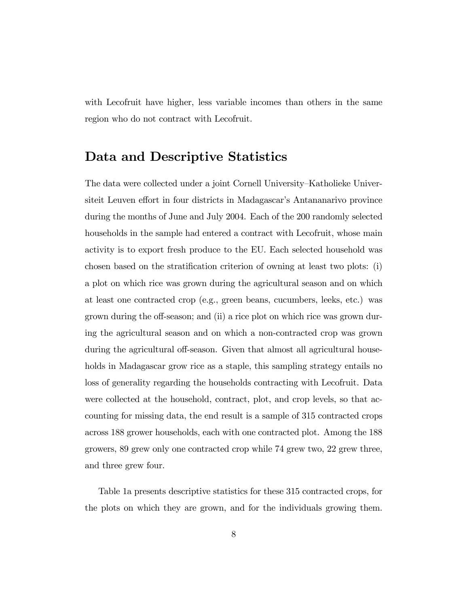with Lecofruit have higher, less variable incomes than others in the same region who do not contract with Lecofruit.

## Data and Descriptive Statistics

The data were collected under a joint Cornell University–Katholieke Universiteit Leuven effort in four districts in Madagascar's Antananarivo province during the months of June and July 2004. Each of the 200 randomly selected households in the sample had entered a contract with Lecofruit, whose main activity is to export fresh produce to the EU. Each selected household was chosen based on the stratification criterion of owning at least two plots: (i) a plot on which rice was grown during the agricultural season and on which at least one contracted crop (e.g., green beans, cucumbers, leeks, etc.) was grown during the off-season; and (ii) a rice plot on which rice was grown during the agricultural season and on which a non-contracted crop was grown during the agricultural off-season. Given that almost all agricultural households in Madagascar grow rice as a staple, this sampling strategy entails no loss of generality regarding the households contracting with Lecofruit. Data were collected at the household, contract, plot, and crop levels, so that accounting for missing data, the end result is a sample of 315 contracted crops across 188 grower households, each with one contracted plot. Among the 188 growers, 89 grew only one contracted crop while 74 grew two, 22 grew three, and three grew four.

Table 1a presents descriptive statistics for these 315 contracted crops, for the plots on which they are grown, and for the individuals growing them.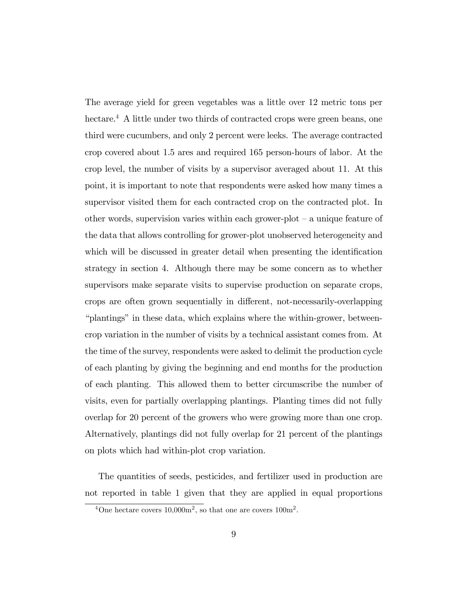The average yield for green vegetables was a little over 12 metric tons per hectare.<sup>4</sup> A little under two thirds of contracted crops were green beans, one third were cucumbers, and only 2 percent were leeks. The average contracted crop covered about 1.5 ares and required 165 person-hours of labor. At the crop level, the number of visits by a supervisor averaged about 11. At this point, it is important to note that respondents were asked how many times a supervisor visited them for each contracted crop on the contracted plot. In other words, supervision varies within each grower-plot  $-$  a unique feature of the data that allows controlling for grower-plot unobserved heterogeneity and which will be discussed in greater detail when presenting the identification strategy in section 4. Although there may be some concern as to whether supervisors make separate visits to supervise production on separate crops, crops are often grown sequentially in different, not-necessarily-overlapping ìplantingsî in these data, which explains where the within-grower, betweencrop variation in the number of visits by a technical assistant comes from. At the time of the survey, respondents were asked to delimit the production cycle of each planting by giving the beginning and end months for the production of each planting. This allowed them to better circumscribe the number of visits, even for partially overlapping plantings. Planting times did not fully overlap for 20 percent of the growers who were growing more than one crop. Alternatively, plantings did not fully overlap for 21 percent of the plantings on plots which had within-plot crop variation.

The quantities of seeds, pesticides, and fertilizer used in production are not reported in table 1 given that they are applied in equal proportions

<sup>&</sup>lt;sup>4</sup>One hectare covers  $10,000$ m<sup>2</sup>, so that one are covers  $100$ m<sup>2</sup>.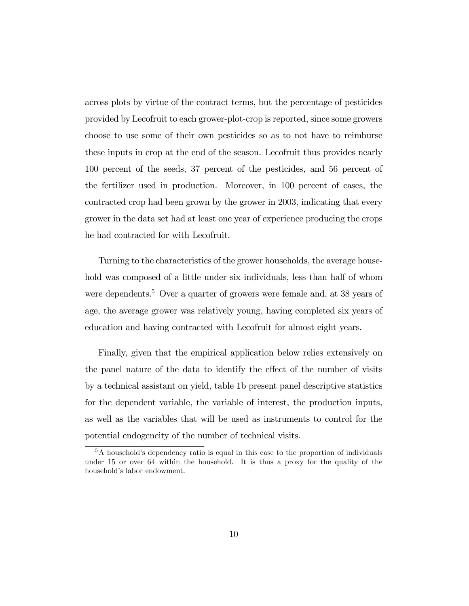across plots by virtue of the contract terms, but the percentage of pesticides provided by Lecofruit to each grower-plot-crop is reported, since some growers choose to use some of their own pesticides so as to not have to reimburse these inputs in crop at the end of the season. Lecofruit thus provides nearly 100 percent of the seeds, 37 percent of the pesticides, and 56 percent of the fertilizer used in production. Moreover, in 100 percent of cases, the contracted crop had been grown by the grower in 2003, indicating that every grower in the data set had at least one year of experience producing the crops he had contracted for with Lecofruit.

Turning to the characteristics of the grower households, the average household was composed of a little under six individuals, less than half of whom were dependents.<sup>5</sup> Over a quarter of growers were female and, at 38 years of age, the average grower was relatively young, having completed six years of education and having contracted with Lecofruit for almost eight years.

Finally, given that the empirical application below relies extensively on the panel nature of the data to identify the effect of the number of visits by a technical assistant on yield, table 1b present panel descriptive statistics for the dependent variable, the variable of interest, the production inputs, as well as the variables that will be used as instruments to control for the potential endogeneity of the number of technical visits.

 $5A$  household's dependency ratio is equal in this case to the proportion of individuals under 15 or over 64 within the household. It is thus a proxy for the quality of the household's labor endowment.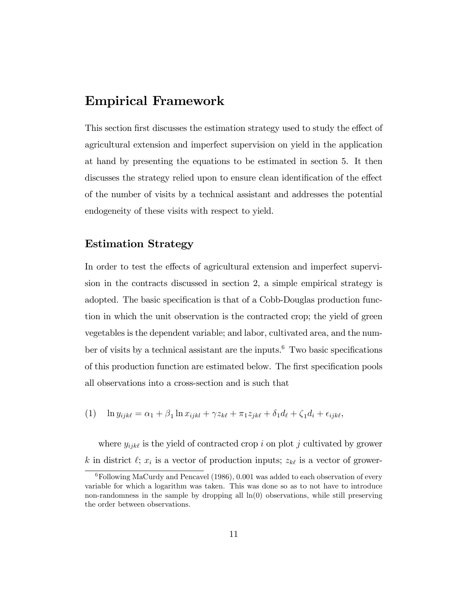## Empirical Framework

This section first discusses the estimation strategy used to study the effect of agricultural extension and imperfect supervision on yield in the application at hand by presenting the equations to be estimated in section 5. It then discusses the strategy relied upon to ensure clean identification of the effect of the number of visits by a technical assistant and addresses the potential endogeneity of these visits with respect to yield.

### Estimation Strategy

In order to test the effects of agricultural extension and imperfect supervision in the contracts discussed in section 2, a simple empirical strategy is adopted. The basic specification is that of a Cobb-Douglas production function in which the unit observation is the contracted crop; the yield of green vegetables is the dependent variable; and labor, cultivated area, and the number of visits by a technical assistant are the inputs. $6$  Two basic specifications of this production function are estimated below. The first specification pools all observations into a cross-section and is such that

(1) 
$$
\ln y_{ijk\ell} = \alpha_1 + \beta_1 \ln x_{ijkl} + \gamma z_{k\ell} + \pi_1 z_{jk\ell} + \delta_1 d_\ell + \zeta_1 d_i + \epsilon_{ijk\ell},
$$

where  $y_{ijk\ell}$  is the yield of contracted crop i on plot j cultivated by grower k in district  $\ell$ ;  $x_i$  is a vector of production inputs;  $z_{k\ell}$  is a vector of grower-

 ${}^{6}$ Following MaCurdy and Pencavel (1986), 0.001 was added to each observation of every variable for which a logarithm was taken. This was done so as to not have to introduce non-randomness in the sample by dropping all  $\ln(0)$  observations, while still preserving the order between observations.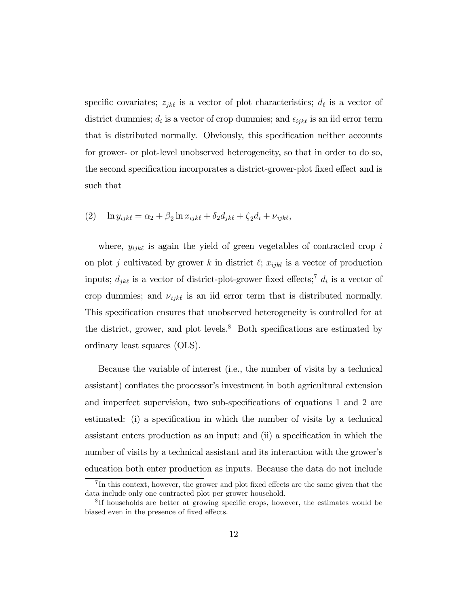specific covariates;  $z_{jk\ell}$  is a vector of plot characteristics;  $d_{\ell}$  is a vector of district dummies;  $d_i$  is a vector of crop dummies; and  $\epsilon_{ijk\ell}$  is an iid error term that is distributed normally. Obviously, this specification neither accounts for grower- or plot-level unobserved heterogeneity, so that in order to do so, the second specification incorporates a district-grower-plot fixed effect and is such that

$$
(2) \quad \ln y_{ijk\ell} = \alpha_2 + \beta_2 \ln x_{ijk\ell} + \delta_2 d_{jk\ell} + \zeta_2 d_i + \nu_{ijk\ell},
$$

where,  $y_{ijk\ell}$  is again the yield of green vegetables of contracted crop i on plot j cultivated by grower k in district  $\ell$ ;  $x_{ijkl}$  is a vector of production inputs;  $d_{jk\ell}$  is a vector of district-plot-grower fixed effects;<sup>7</sup>  $d_i$  is a vector of crop dummies; and  $\nu_{ijk\ell}$  is an iid error term that is distributed normally. This specification ensures that unobserved heterogeneity is controlled for at the district, grower, and plot levels.<sup>8</sup> Both specifications are estimated by ordinary least squares (OLS).

Because the variable of interest (i.e., the number of visits by a technical assistant) conflates the processor's investment in both agricultural extension and imperfect supervision, two sub-specifications of equations 1 and 2 are estimated: (i) a specification in which the number of visits by a technical assistant enters production as an input; and (ii) a specification in which the number of visits by a technical assistant and its interaction with the grower's education both enter production as inputs. Because the data do not include

 ${}^{7}$ In this context, however, the grower and plot fixed effects are the same given that the data include only one contracted plot per grower household.

<sup>&</sup>lt;sup>8</sup>If households are better at growing specific crops, however, the estimates would be biased even in the presence of fixed effects.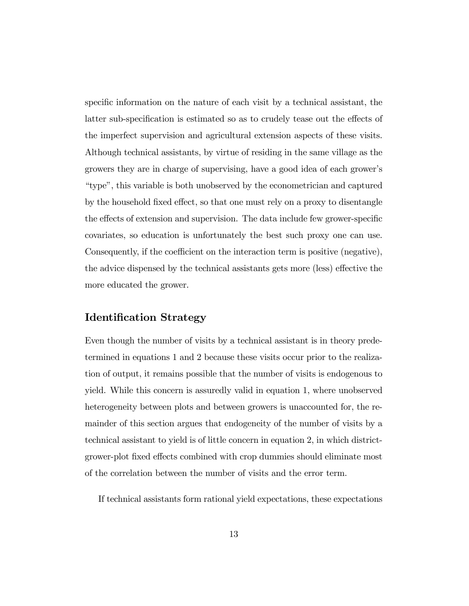specific information on the nature of each visit by a technical assistant, the latter sub-specification is estimated so as to crudely tease out the effects of the imperfect supervision and agricultural extension aspects of these visits. Although technical assistants, by virtue of residing in the same village as the growers they are in charge of supervising, have a good idea of each growerís ìtypeî, this variable is both unobserved by the econometrician and captured by the household fixed effect, so that one must rely on a proxy to disentangle the effects of extension and supervision. The data include few grower-specific covariates, so education is unfortunately the best such proxy one can use. Consequently, if the coefficient on the interaction term is positive (negative), the advice dispensed by the technical assistants gets more (less) effective the more educated the grower.

### Identification Strategy

Even though the number of visits by a technical assistant is in theory predetermined in equations 1 and 2 because these visits occur prior to the realization of output, it remains possible that the number of visits is endogenous to yield. While this concern is assuredly valid in equation 1, where unobserved heterogeneity between plots and between growers is unaccounted for, the remainder of this section argues that endogeneity of the number of visits by a technical assistant to yield is of little concern in equation 2, in which districtgrower-plot fixed effects combined with crop dummies should eliminate most of the correlation between the number of visits and the error term.

If technical assistants form rational yield expectations, these expectations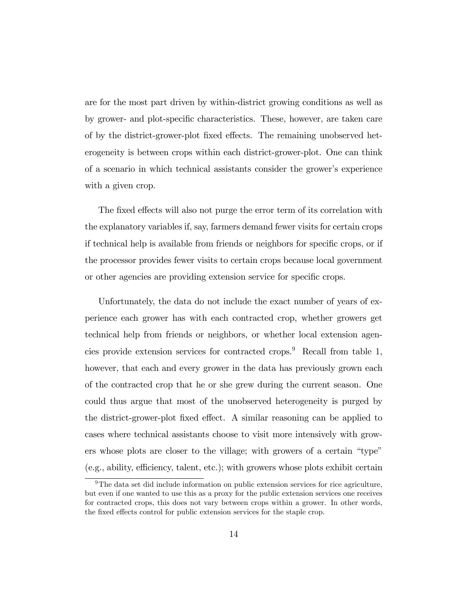are for the most part driven by within-district growing conditions as well as by grower- and plot-specific characteristics. These, however, are taken care of by the district-grower-plot fixed effects. The remaining unobserved heterogeneity is between crops within each district-grower-plot. One can think of a scenario in which technical assistants consider the grower's experience with a given crop.

The fixed effects will also not purge the error term of its correlation with the explanatory variables if, say, farmers demand fewer visits for certain crops if technical help is available from friends or neighbors for specific crops, or if the processor provides fewer visits to certain crops because local government or other agencies are providing extension service for specific crops.

Unfortunately, the data do not include the exact number of years of experience each grower has with each contracted crop, whether growers get technical help from friends or neighbors, or whether local extension agencies provide extension services for contracted crops.<sup>9</sup> Recall from table 1, however, that each and every grower in the data has previously grown each of the contracted crop that he or she grew during the current season. One could thus argue that most of the unobserved heterogeneity is purged by the district-grower-plot fixed effect. A similar reasoning can be applied to cases where technical assistants choose to visit more intensively with growers whose plots are closer to the village; with growers of a certain "type"  $(e.g., ability, efficiency, talent, etc.); with grows whose plots exhibit certain$ 

 $9$ The data set did include information on public extension services for rice agriculture, but even if one wanted to use this as a proxy for the public extension services one receives for contracted crops, this does not vary between crops within a grower. In other words, the fixed effects control for public extension services for the staple crop.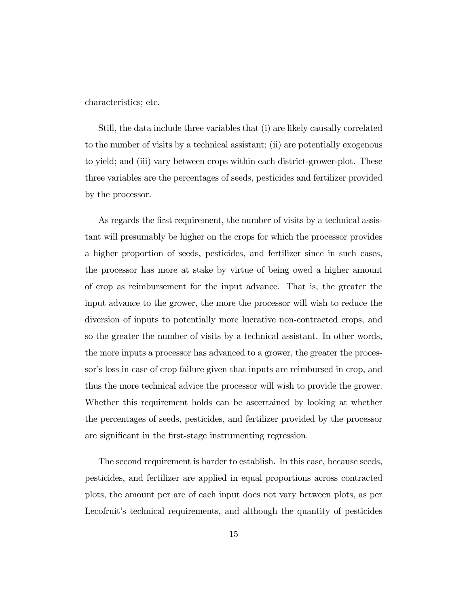characteristics; etc.

Still, the data include three variables that (i) are likely causally correlated to the number of visits by a technical assistant; (ii) are potentially exogenous to yield; and (iii) vary between crops within each district-grower-plot. These three variables are the percentages of seeds, pesticides and fertilizer provided by the processor.

As regards the first requirement, the number of visits by a technical assistant will presumably be higher on the crops for which the processor provides a higher proportion of seeds, pesticides, and fertilizer since in such cases, the processor has more at stake by virtue of being owed a higher amount of crop as reimbursement for the input advance. That is, the greater the input advance to the grower, the more the processor will wish to reduce the diversion of inputs to potentially more lucrative non-contracted crops, and so the greater the number of visits by a technical assistant. In other words, the more inputs a processor has advanced to a grower, the greater the processor's loss in case of crop failure given that inputs are reimbursed in crop, and thus the more technical advice the processor will wish to provide the grower. Whether this requirement holds can be ascertained by looking at whether the percentages of seeds, pesticides, and fertilizer provided by the processor are significant in the first-stage instrumenting regression.

The second requirement is harder to establish. In this case, because seeds, pesticides, and fertilizer are applied in equal proportions across contracted plots, the amount per are of each input does not vary between plots, as per Lecofruit's technical requirements, and although the quantity of pesticides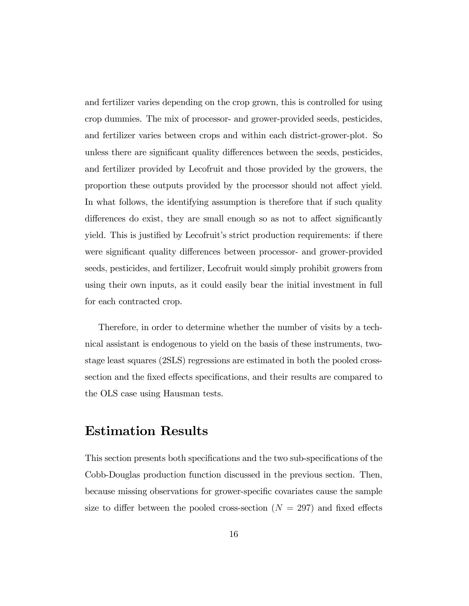and fertilizer varies depending on the crop grown, this is controlled for using crop dummies. The mix of processor- and grower-provided seeds, pesticides, and fertilizer varies between crops and within each district-grower-plot. So unless there are significant quality differences between the seeds, pesticides, and fertilizer provided by Lecofruit and those provided by the growers, the proportion these outputs provided by the processor should not affect yield. In what follows, the identifying assumption is therefore that if such quality differences do exist, they are small enough so as not to affect significantly yield. This is justified by Lecofruit's strict production requirements: if there were significant quality differences between processor- and grower-provided seeds, pesticides, and fertilizer, Lecofruit would simply prohibit growers from using their own inputs, as it could easily bear the initial investment in full for each contracted crop.

Therefore, in order to determine whether the number of visits by a technical assistant is endogenous to yield on the basis of these instruments, twostage least squares (2SLS) regressions are estimated in both the pooled crosssection and the fixed effects specifications, and their results are compared to the OLS case using Hausman tests.

## Estimation Results

This section presents both specifications and the two sub-specifications of the Cobb-Douglas production function discussed in the previous section. Then, because missing observations for grower-specific covariates cause the sample size to differ between the pooled cross-section ( $N = 297$ ) and fixed effects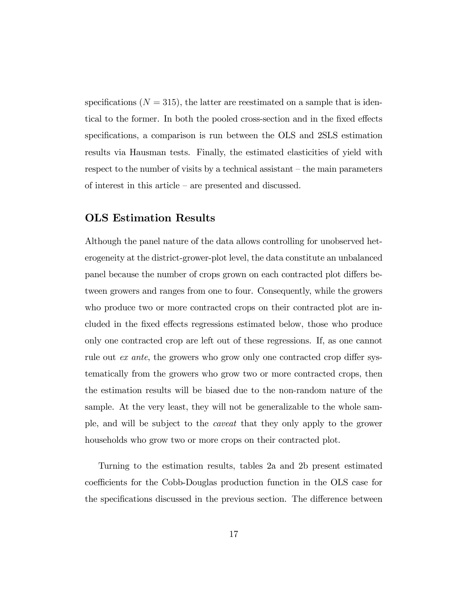specifications ( $N = 315$ ), the latter are reestimated on a sample that is identical to the former. In both the pooled cross-section and in the fixed effects specifications, a comparison is run between the OLS and 2SLS estimation results via Hausman tests. Finally, the estimated elasticities of yield with respect to the number of visits by a technical assistant  $-$  the main parameters of interest in this article  $-$  are presented and discussed.

## OLS Estimation Results

Although the panel nature of the data allows controlling for unobserved heterogeneity at the district-grower-plot level, the data constitute an unbalanced panel because the number of crops grown on each contracted plot differs between growers and ranges from one to four. Consequently, while the growers who produce two or more contracted crops on their contracted plot are included in the fixed effects regressions estimated below, those who produce only one contracted crop are left out of these regressions. If, as one cannot rule out  $ex$  ante, the growers who grow only one contracted crop differ systematically from the growers who grow two or more contracted crops, then the estimation results will be biased due to the non-random nature of the sample. At the very least, they will not be generalizable to the whole sample, and will be subject to the caveat that they only apply to the grower households who grow two or more crops on their contracted plot.

Turning to the estimation results, tables 2a and 2b present estimated coefficients for the Cobb-Douglas production function in the OLS case for the specifications discussed in the previous section. The difference between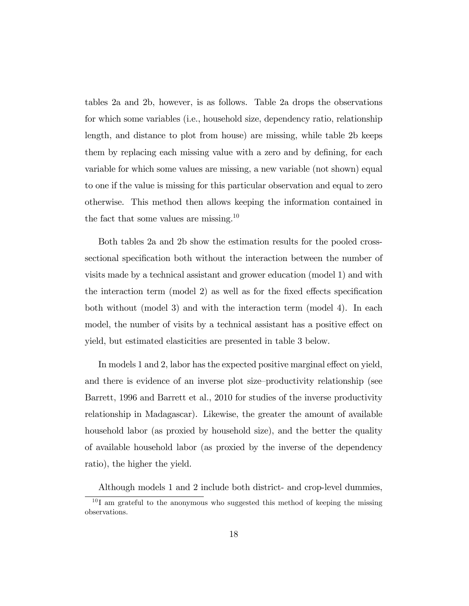tables 2a and 2b, however, is as follows. Table 2a drops the observations for which some variables (i.e., household size, dependency ratio, relationship length, and distance to plot from house) are missing, while table 2b keeps them by replacing each missing value with a zero and by defining, for each variable for which some values are missing, a new variable (not shown) equal to one if the value is missing for this particular observation and equal to zero otherwise. This method then allows keeping the information contained in the fact that some values are missing.<sup>10</sup>

Both tables 2a and 2b show the estimation results for the pooled crosssectional specification both without the interaction between the number of visits made by a technical assistant and grower education (model 1) and with the interaction term (model 2) as well as for the fixed effects specification both without (model 3) and with the interaction term (model 4). In each model, the number of visits by a technical assistant has a positive effect on yield, but estimated elasticities are presented in table 3 below.

In models 1 and 2, labor has the expected positive marginal effect on yield, and there is evidence of an inverse plot size-productivity relationship (see Barrett, 1996 and Barrett et al., 2010 for studies of the inverse productivity relationship in Madagascar). Likewise, the greater the amount of available household labor (as proxied by household size), and the better the quality of available household labor (as proxied by the inverse of the dependency ratio), the higher the yield.

Although models 1 and 2 include both district- and crop-level dummies,

 $10$ I am grateful to the anonymous who suggested this method of keeping the missing observations.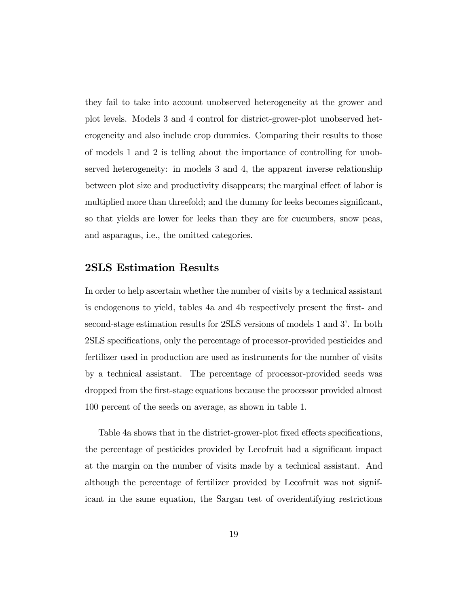they fail to take into account unobserved heterogeneity at the grower and plot levels. Models 3 and 4 control for district-grower-plot unobserved heterogeneity and also include crop dummies. Comparing their results to those of models 1 and 2 is telling about the importance of controlling for unobserved heterogeneity: in models 3 and 4, the apparent inverse relationship between plot size and productivity disappears; the marginal effect of labor is multiplied more than threefold; and the dummy for leeks becomes significant, so that yields are lower for leeks than they are for cucumbers, snow peas, and asparagus, i.e., the omitted categories.

#### 2SLS Estimation Results

In order to help ascertain whether the number of visits by a technical assistant is endogenous to yield, tables 4a and 4b respectively present the Örst- and second-stage estimation results for 2SLS versions of models 1 and 3'. In both 2SLS specifications, only the percentage of processor-provided pesticides and fertilizer used in production are used as instruments for the number of visits by a technical assistant. The percentage of processor-provided seeds was dropped from the first-stage equations because the processor provided almost 100 percent of the seeds on average, as shown in table 1.

Table 4a shows that in the district-grower-plot fixed effects specifications, the percentage of pesticides provided by Lecofruit had a significant impact at the margin on the number of visits made by a technical assistant. And although the percentage of fertilizer provided by Lecofruit was not significant in the same equation, the Sargan test of overidentifying restrictions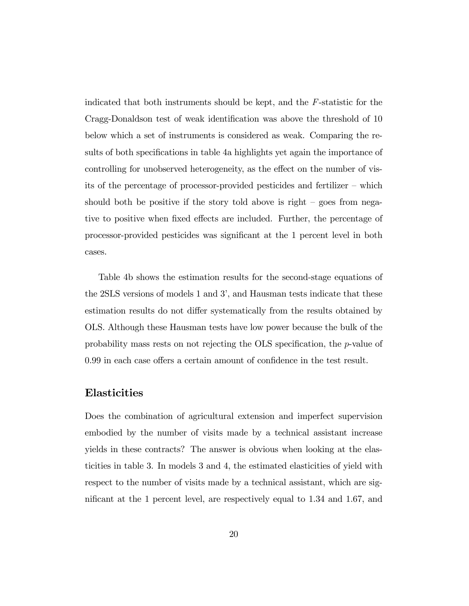indicated that both instruments should be kept, and the F-statistic for the Cragg-Donaldson test of weak identification was above the threshold of 10 below which a set of instruments is considered as weak. Comparing the results of both specifications in table 4a highlights yet again the importance of controlling for unobserved heterogeneity, as the effect on the number of visits of the percentage of processor-provided pesticides and fertilizer  $-$  which should both be positive if the story told above is right  $-$  goes from negative to positive when fixed effects are included. Further, the percentage of processor-provided pesticides was signiÖcant at the 1 percent level in both cases.

Table 4b shows the estimation results for the second-stage equations of the 2SLS versions of models 1 and 3í, and Hausman tests indicate that these estimation results do not differ systematically from the results obtained by OLS. Although these Hausman tests have low power because the bulk of the probability mass rests on not rejecting the OLS specification, the  $p$ -value of  $0.99$  in each case offers a certain amount of confidence in the test result.

## Elasticities

Does the combination of agricultural extension and imperfect supervision embodied by the number of visits made by a technical assistant increase yields in these contracts? The answer is obvious when looking at the elasticities in table 3. In models 3 and 4, the estimated elasticities of yield with respect to the number of visits made by a technical assistant, which are significant at the 1 percent level, are respectively equal to  $1.34$  and  $1.67$ , and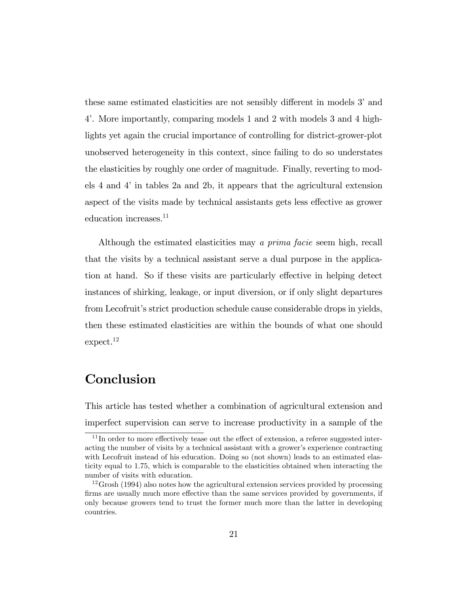these same estimated elasticities are not sensibly different in models 3' and 4í. More importantly, comparing models 1 and 2 with models 3 and 4 highlights yet again the crucial importance of controlling for district-grower-plot unobserved heterogeneity in this context, since failing to do so understates the elasticities by roughly one order of magnitude. Finally, reverting to models 4 and 4í in tables 2a and 2b, it appears that the agricultural extension aspect of the visits made by technical assistants gets less effective as grower education increases.<sup>11</sup>

Although the estimated elasticities may a prima facie seem high, recall that the visits by a technical assistant serve a dual purpose in the application at hand. So if these visits are particularly effective in helping detect instances of shirking, leakage, or input diversion, or if only slight departures from Lecofruit's strict production schedule cause considerable drops in yields, then these estimated elasticities are within the bounds of what one should expect.<sup>12</sup>

# Conclusion

This article has tested whether a combination of agricultural extension and imperfect supervision can serve to increase productivity in a sample of the

 $11$  In order to more effectively tease out the effect of extension, a referee suggested interacting the number of visits by a technical assistant with a grower's experience contracting with Lecofruit instead of his education. Doing so (not shown) leads to an estimated elasticity equal to 1.75, which is comparable to the elasticities obtained when interacting the number of visits with education.

 $12G$ rosh (1994) also notes how the agricultural extension services provided by processing firms are usually much more effective than the same services provided by governments, if only because growers tend to trust the former much more than the latter in developing countries.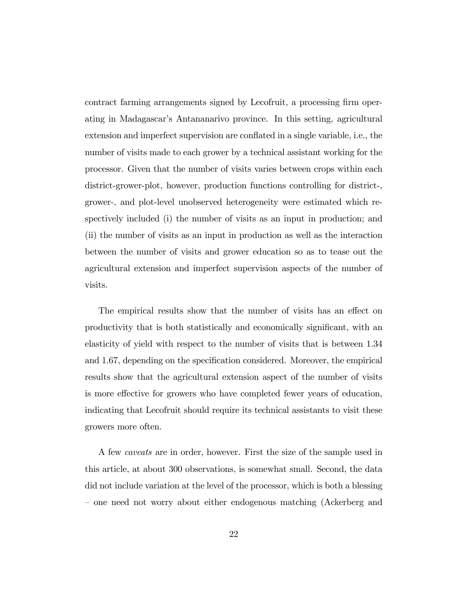contract farming arrangements signed by Lecofruit, a processing firm operating in Madagascarís Antananarivo province. In this setting, agricultural extension and imperfect supervision are conflated in a single variable, i.e., the number of visits made to each grower by a technical assistant working for the processor. Given that the number of visits varies between crops within each district-grower-plot, however, production functions controlling for district-, grower-, and plot-level unobserved heterogeneity were estimated which respectively included (i) the number of visits as an input in production; and (ii) the number of visits as an input in production as well as the interaction between the number of visits and grower education so as to tease out the agricultural extension and imperfect supervision aspects of the number of visits.

The empirical results show that the number of visits has an effect on productivity that is both statistically and economically significant, with an elasticity of yield with respect to the number of visits that is between 1.34 and 1.67, depending on the specification considered. Moreover, the empirical results show that the agricultural extension aspect of the number of visits is more effective for growers who have completed fewer years of education, indicating that Lecofruit should require its technical assistants to visit these growers more often.

A few caveats are in order, however. First the size of the sample used in this article, at about 300 observations, is somewhat small. Second, the data did not include variation at the level of the processor, which is both a blessing – one need not worry about either endogenous matching (Ackerberg and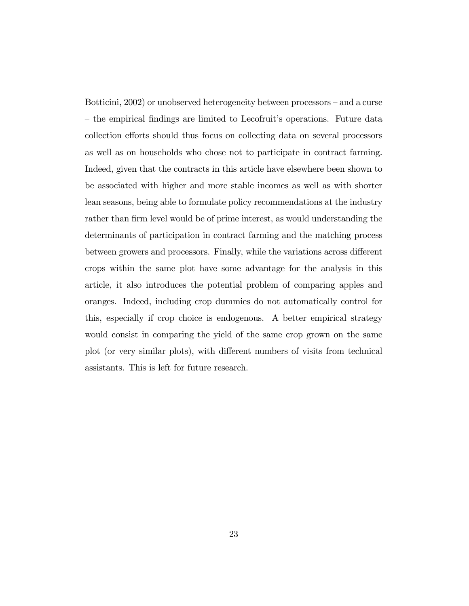Botticini, 2002) or unobserved heterogeneity between processors – and a curse – the empirical findings are limited to Lecofruit's operations. Future data collection efforts should thus focus on collecting data on several processors as well as on households who chose not to participate in contract farming. Indeed, given that the contracts in this article have elsewhere been shown to be associated with higher and more stable incomes as well as with shorter lean seasons, being able to formulate policy recommendations at the industry rather than firm level would be of prime interest, as would understanding the determinants of participation in contract farming and the matching process between growers and processors. Finally, while the variations across different crops within the same plot have some advantage for the analysis in this article, it also introduces the potential problem of comparing apples and oranges. Indeed, including crop dummies do not automatically control for this, especially if crop choice is endogenous. A better empirical strategy would consist in comparing the yield of the same crop grown on the same plot (or very similar plots), with different numbers of visits from technical assistants. This is left for future research.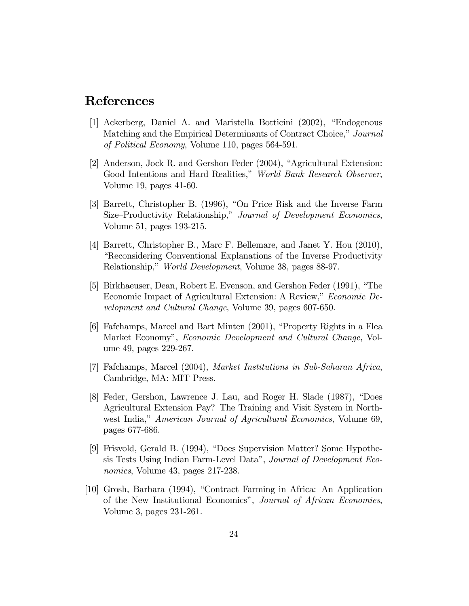# References

- [1] Ackerberg, Daniel A. and Maristella Botticini  $(2002)$ , "Endogenous Matching and the Empirical Determinants of Contract Choice," Journal of Political Economy, Volume 110, pages 564-591.
- [2] Anderson, Jock R. and Gershon Feder (2004), "Agricultural Extension: Good Intentions and Hard Realities," World Bank Research Observer, Volume 19, pages 41-60.
- [3] Barrett, Christopher B. (1996), "On Price Risk and the Inverse Farm Size–Productivity Relationship," Journal of Development Economics, Volume 51, pages 193-215.
- [4] Barrett, Christopher B., Marc F. Bellemare, and Janet Y. Hou (2010), ìReconsidering Conventional Explanations of the Inverse Productivity Relationship,î World Development, Volume 38, pages 88-97.
- [5] Birkhaeuser, Dean, Robert E. Evenson, and Gershon Feder (1991), "The Economic Impact of Agricultural Extension: A Review," Economic Development and Cultural Change, Volume 39, pages 607-650.
- $[6]$  Fafchamps, Marcel and Bart Minten  $(2001)$ , "Property Rights in a Flea Market Economy", *Economic Development and Cultural Change*, Volume 49, pages 229-267.
- [7] Fafchamps, Marcel (2004), Market Institutions in Sub-Saharan Africa, Cambridge, MA: MIT Press.
- [8] Feder, Gershon, Lawrence J. Lau, and Roger H. Slade (1987), "Does Agricultural Extension Pay? The Training and Visit System in Northwest India," American Journal of Agricultural Economics, Volume 69, pages 677-686.
- [9] Frisvold, Gerald B. (1994), "Does Supervision Matter? Some Hypothesis Tests Using Indian Farm-Level Data", Journal of Development Economics, Volume 43, pages 217-238.
- [10] Grosh, Barbara (1994), "Contract Farming in Africa: An Application of the New Institutional Economics", Journal of African Economies, Volume 3, pages 231-261.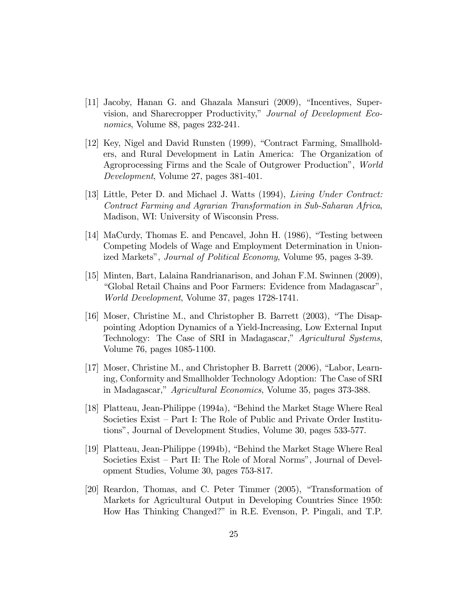- $[11]$  Jacoby, Hanan G. and Ghazala Mansuri  $(2009)$ , "Incentives, Supervision, and Sharecropper Productivity," Journal of Development Economics, Volume 88, pages 232-241.
- [12] Key, Nigel and David Runsten (1999), "Contract Farming, Smallholders, and Rural Development in Latin America: The Organization of Agroprocessing Firms and the Scale of Outgrower Productionî, World Development, Volume 27, pages 381-401.
- [13] Little, Peter D. and Michael J. Watts (1994), Living Under Contract: Contract Farming and Agrarian Transformation in Sub-Saharan Africa, Madison, WI: University of Wisconsin Press.
- [14] MaCurdy, Thomas E. and Pencavel, John H. (1986), "Testing between Competing Models of Wage and Employment Determination in Unionized Markets", *Journal of Political Economy*, Volume 95, pages 3-39.
- [15] Minten, Bart, Lalaina Randrianarison, and Johan F.M. Swinnen (2009), ìGlobal Retail Chains and Poor Farmers: Evidence from Madagascarî, World Development, Volume 37, pages 1728-1741.
- [16] Moser, Christine M., and Christopher B. Barrett  $(2003)$ , "The Disappointing Adoption Dynamics of a Yield-Increasing, Low External Input Technology: The Case of SRI in Madagascar," Agricultural Systems, Volume 76, pages 1085-1100.
- [17] Moser, Christine M., and Christopher B. Barrett  $(2006)$ , "Labor, Learning, Conformity and Smallholder Technology Adoption: The Case of SRI in Madagascar," Agricultural Economics, Volume 35, pages 373-388.
- [18] Platteau, Jean-Philippe (1994a), "Behind the Market Stage Where Real Societies Exist – Part I: The Role of Public and Private Order Institutionsî, Journal of Development Studies, Volume 30, pages 533-577.
- [19] Platteau, Jean-Philippe (1994b), "Behind the Market Stage Where Real Societies Exist – Part II: The Role of Moral Norms", Journal of Development Studies, Volume 30, pages 753-817.
- [20] Reardon, Thomas, and C. Peter Timmer (2005), "Transformation of Markets for Agricultural Output in Developing Countries Since 1950: How Has Thinking Changed?î in R.E. Evenson, P. Pingali, and T.P.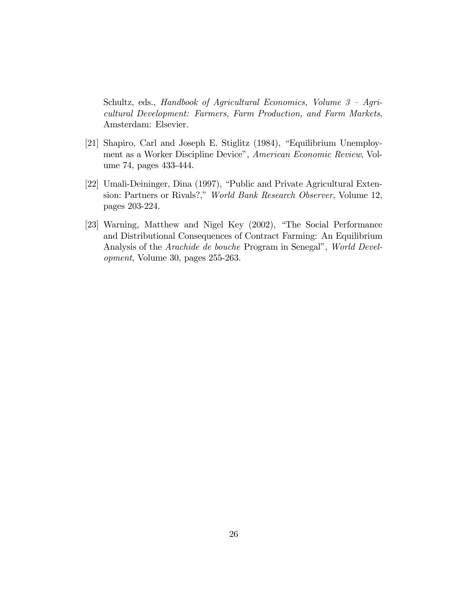Schultz, eds., Handbook of Agricultural Economics, Volume  $3 - Agri$ cultural Development: Farmers, Farm Production, and Farm Markets, Amsterdam: Elsevier.

- [21] Shapiro, Carl and Joseph E. Stiglitz (1984), "Equilibrium Unemployment as a Worker Discipline Device", American Economic Review, Volume 74, pages 433-444.
- [22] Umali-Deininger, Dina (1997), "Public and Private Agricultural Extension: Partners or Rivals?," World Bank Research Observer, Volume 12, pages 203-224.
- [23] Warning, Matthew and Nigel Key (2002), "The Social Performance and Distributional Consequences of Contract Farming: An Equilibrium Analysis of the *Arachide de bouche* Program in Senegal", World Development, Volume 30, pages 255-263.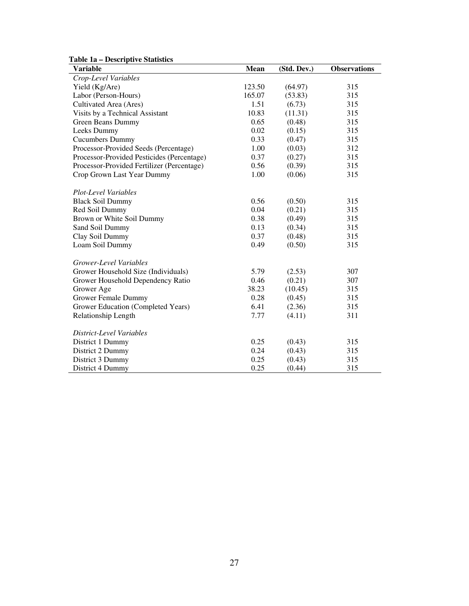|  | <b>Table 1a – Descriptive Statistics</b> |  |
|--|------------------------------------------|--|
|--|------------------------------------------|--|

| <b>Variable</b>                            | <b>Mean</b> | (Std. Dev.) | <b>Observations</b> |
|--------------------------------------------|-------------|-------------|---------------------|
| Crop-Level Variables                       |             |             |                     |
| Yield (Kg/Are)                             | 123.50      | (64.97)     | 315                 |
| Labor (Person-Hours)                       | 165.07      | (53.83)     | 315                 |
| Cultivated Area (Ares)                     | 1.51        | (6.73)      | 315                 |
| Visits by a Technical Assistant            | 10.83       | (11.31)     | 315                 |
| Green Beans Dummy                          | 0.65        | (0.48)      | 315                 |
| Leeks Dummy                                | 0.02        | (0.15)      | 315                 |
| <b>Cucumbers Dummy</b>                     | 0.33        | (0.47)      | 315                 |
| Processor-Provided Seeds (Percentage)      | 1.00        | (0.03)      | 312                 |
| Processor-Provided Pesticides (Percentage) | 0.37        | (0.27)      | 315                 |
| Processor-Provided Fertilizer (Percentage) | 0.56        | (0.39)      | 315                 |
| Crop Grown Last Year Dummy                 | 1.00        | (0.06)      | 315                 |
| Plot-Level Variables                       |             |             |                     |
| <b>Black Soil Dummy</b>                    | 0.56        | (0.50)      | 315                 |
| Red Soil Dummy                             | 0.04        | (0.21)      | 315                 |
| Brown or White Soil Dummy                  | 0.38        | (0.49)      | 315                 |
| Sand Soil Dummy                            | 0.13        | (0.34)      | 315                 |
| Clay Soil Dummy                            | 0.37        | (0.48)      | 315                 |
| Loam Soil Dummy                            | 0.49        | (0.50)      | 315                 |
| Grower-Level Variables                     |             |             |                     |
| Grower Household Size (Individuals)        | 5.79        | (2.53)      | 307                 |
| Grower Household Dependency Ratio          | 0.46        | (0.21)      | 307                 |
| Grower Age                                 | 38.23       | (10.45)     | 315                 |
| <b>Grower Female Dummy</b>                 | 0.28        | (0.45)      | 315                 |
| Grower Education (Completed Years)         | 6.41        | (2.36)      | 315                 |
| Relationship Length                        | 7.77        | (4.11)      | 311                 |
| District-Level Variables                   |             |             |                     |
| District 1 Dummy                           | 0.25        | (0.43)      | 315                 |
| District 2 Dummy                           | 0.24        | (0.43)      | 315                 |
| District 3 Dummy                           | 0.25        | (0.43)      | 315                 |
| District 4 Dummy                           | 0.25        | (0.44)      | 315                 |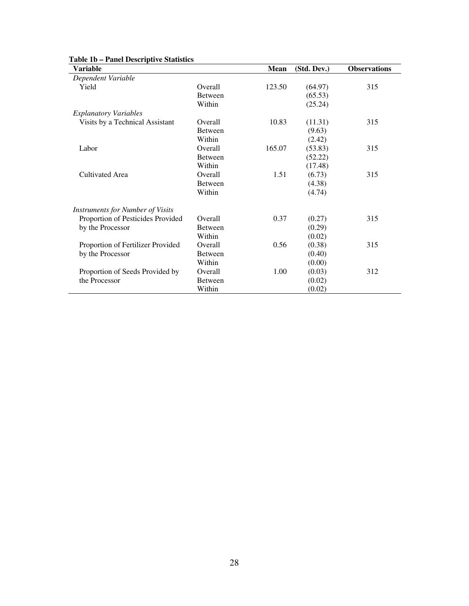| <b>Variable</b>                         |                | Mean   | (Std. Dev.) | <b>Observations</b> |
|-----------------------------------------|----------------|--------|-------------|---------------------|
| Dependent Variable                      |                |        |             |                     |
| Yield                                   | Overall        | 123.50 | (64.97)     | 315                 |
|                                         | <b>Between</b> |        | (65.53)     |                     |
|                                         | Within         |        | (25.24)     |                     |
| <b>Explanatory Variables</b>            |                |        |             |                     |
| Visits by a Technical Assistant         | Overall        | 10.83  | (11.31)     | 315                 |
|                                         | <b>Between</b> |        | (9.63)      |                     |
|                                         | Within         |        | (2.42)      |                     |
| Labor                                   | Overall        | 165.07 | (53.83)     | 315                 |
|                                         | <b>Between</b> |        | (52.22)     |                     |
|                                         | Within         |        | (17.48)     |                     |
| Cultivated Area                         | Overall        | 1.51   | (6.73)      | 315                 |
|                                         | <b>Between</b> |        | (4.38)      |                     |
|                                         | Within         |        | (4.74)      |                     |
| <b>Instruments for Number of Visits</b> |                |        |             |                     |
| Proportion of Pesticides Provided       | Overall        | 0.37   | (0.27)      | 315                 |
| by the Processor                        | <b>Between</b> |        | (0.29)      |                     |
|                                         | Within         |        | (0.02)      |                     |
| Proportion of Fertilizer Provided       | Overall        | 0.56   | (0.38)      | 315                 |
| by the Processor                        | <b>Between</b> |        | (0.40)      |                     |
|                                         | Within         |        | (0.00)      |                     |
| Proportion of Seeds Provided by         | Overall        | 1.00   | (0.03)      | 312                 |
| the Processor                           | <b>Between</b> |        | (0.02)      |                     |
|                                         | Within         |        | (0.02)      |                     |

#### **Table 1b – Panel Descriptive Statistics**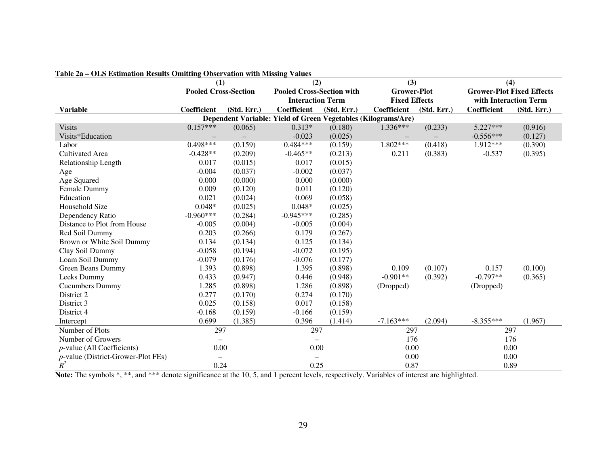| $\frac{1}{2}$ and $\frac{1}{2}$ and $\frac{1}{2}$ and $\frac{1}{2}$ and $\frac{1}{2}$ and $\frac{1}{2}$ and $\frac{1}{2}$ and $\frac{1}{2}$ and $\frac{1}{2}$ and $\frac{1}{2}$ and $\frac{1}{2}$ and $\frac{1}{2}$ and $\frac{1}{2}$ and $\frac{1}{2}$ and $\frac{1}{2}$ and $\frac{1}{2}$ a |                          | (1)                         |                                                               | (2)                              |                      | (3)         |                                  | (4)                   |  |
|-----------------------------------------------------------------------------------------------------------------------------------------------------------------------------------------------------------------------------------------------------------------------------------------------|--------------------------|-----------------------------|---------------------------------------------------------------|----------------------------------|----------------------|-------------|----------------------------------|-----------------------|--|
|                                                                                                                                                                                                                                                                                               |                          | <b>Pooled Cross-Section</b> |                                                               | <b>Pooled Cross-Section with</b> | <b>Grower-Plot</b>   |             | <b>Grower-Plot Fixed Effects</b> |                       |  |
|                                                                                                                                                                                                                                                                                               |                          |                             | <b>Interaction Term</b>                                       |                                  | <b>Fixed Effects</b> |             |                                  | with Interaction Term |  |
| <b>Variable</b>                                                                                                                                                                                                                                                                               | Coefficient              | (Std. Err.)                 | Coefficient                                                   | (Std. Err.)                      | Coefficient          | (Std. Err.) | Coefficient                      | (Std. Err.)           |  |
|                                                                                                                                                                                                                                                                                               |                          |                             | Dependent Variable: Yield of Green Vegetables (Kilograms/Are) |                                  |                      |             |                                  |                       |  |
| <b>Visits</b>                                                                                                                                                                                                                                                                                 | $0.157***$               | (0.065)                     | $0.313*$                                                      | (0.180)                          | 1.336***             | (0.233)     | $5.227***$                       | (0.916)               |  |
| Visits*Education                                                                                                                                                                                                                                                                              | $\overline{\phantom{0}}$ |                             | $-0.023$                                                      | (0.025)                          |                      |             | $-0.556***$                      | (0.127)               |  |
| Labor                                                                                                                                                                                                                                                                                         | $0.498***$               | (0.159)                     | $0.484***$                                                    | (0.159)                          | 1.802***             | (0.418)     | 1.912***                         | (0.390)               |  |
| <b>Cultivated Area</b>                                                                                                                                                                                                                                                                        | $-0.428**$               | (0.209)                     | $-0.465**$                                                    | (0.213)                          | 0.211                | (0.383)     | $-0.537$                         | (0.395)               |  |
| Relationship Length                                                                                                                                                                                                                                                                           | 0.017                    | (0.015)                     | 0.017                                                         | (0.015)                          |                      |             |                                  |                       |  |
| Age                                                                                                                                                                                                                                                                                           | $-0.004$                 | (0.037)                     | $-0.002$                                                      | (0.037)                          |                      |             |                                  |                       |  |
| Age Squared                                                                                                                                                                                                                                                                                   | 0.000                    | (0.000)                     | 0.000                                                         | (0.000)                          |                      |             |                                  |                       |  |
| Female Dummy                                                                                                                                                                                                                                                                                  | 0.009                    | (0.120)                     | 0.011                                                         | (0.120)                          |                      |             |                                  |                       |  |
| Education                                                                                                                                                                                                                                                                                     | 0.021                    | (0.024)                     | 0.069                                                         | (0.058)                          |                      |             |                                  |                       |  |
| Household Size                                                                                                                                                                                                                                                                                | $0.048*$                 | (0.025)                     | $0.048*$                                                      | (0.025)                          |                      |             |                                  |                       |  |
| Dependency Ratio                                                                                                                                                                                                                                                                              | $-0.960***$              | (0.284)                     | $-0.945***$                                                   | (0.285)                          |                      |             |                                  |                       |  |
| Distance to Plot from House                                                                                                                                                                                                                                                                   | $-0.005$                 | (0.004)                     | $-0.005$                                                      | (0.004)                          |                      |             |                                  |                       |  |
| Red Soil Dummy                                                                                                                                                                                                                                                                                | 0.203                    | (0.266)                     | 0.179                                                         | (0.267)                          |                      |             |                                  |                       |  |
| Brown or White Soil Dummy                                                                                                                                                                                                                                                                     | 0.134                    | (0.134)                     | 0.125                                                         | (0.134)                          |                      |             |                                  |                       |  |
| Clay Soil Dummy                                                                                                                                                                                                                                                                               | $-0.058$                 | (0.194)                     | $-0.072$                                                      | (0.195)                          |                      |             |                                  |                       |  |
| Loam Soil Dummy                                                                                                                                                                                                                                                                               | $-0.079$                 | (0.176)                     | $-0.076$                                                      | (0.177)                          |                      |             |                                  |                       |  |
| Green Beans Dummy                                                                                                                                                                                                                                                                             | 1.393                    | (0.898)                     | 1.395                                                         | (0.898)                          | 0.109                | (0.107)     | 0.157                            | (0.100)               |  |
| Leeks Dummy                                                                                                                                                                                                                                                                                   | 0.433                    | (0.947)                     | 0.446                                                         | (0.948)                          | $-0.901**$           | (0.392)     | $-0.797**$                       | (0.365)               |  |
| <b>Cucumbers Dummy</b>                                                                                                                                                                                                                                                                        | 1.285                    | (0.898)                     | 1.286                                                         | (0.898)                          | (Dropped)            |             | (Dropped)                        |                       |  |
| District 2                                                                                                                                                                                                                                                                                    | 0.277                    | (0.170)                     | 0.274                                                         | (0.170)                          |                      |             |                                  |                       |  |
| District 3                                                                                                                                                                                                                                                                                    | 0.025                    | (0.158)                     | 0.017                                                         | (0.158)                          |                      |             |                                  |                       |  |
| District 4                                                                                                                                                                                                                                                                                    | $-0.168$                 | (0.159)                     | $-0.166$                                                      | (0.159)                          |                      |             |                                  |                       |  |
| Intercept                                                                                                                                                                                                                                                                                     | 0.699                    | (1.385)                     | 0.396                                                         | (1.414)                          | $-7.163***$          | (2.094)     | $-8.355***$                      | (1.967)               |  |
| Number of Plots                                                                                                                                                                                                                                                                               | 297                      |                             | 297                                                           |                                  | 297                  |             | 297                              |                       |  |
| Number of Growers                                                                                                                                                                                                                                                                             |                          |                             |                                                               |                                  | 176                  |             |                                  | 176                   |  |
| <i>p</i> -value (All Coefficients)                                                                                                                                                                                                                                                            | 0.00                     |                             | 0.00                                                          |                                  | 0.00                 |             | 0.00                             |                       |  |
| <i>p</i> -value (District-Grower-Plot FEs)                                                                                                                                                                                                                                                    | $\overline{\phantom{0}}$ |                             | $\overline{\phantom{0}}$                                      |                                  | 0.00                 |             | 0.00                             |                       |  |
| $R^2$                                                                                                                                                                                                                                                                                         | 0.24                     |                             | 0.25                                                          |                                  | 0.87                 |             | 0.89                             |                       |  |

#### **Table 2a – OLS Estimation Results Omitting Observation with Missing Values**

Note: The symbols  $*, **$ , and  $***$  denote significance at the 10, 5, and 1 percent levels, respectively. Variables of interest are highlighted.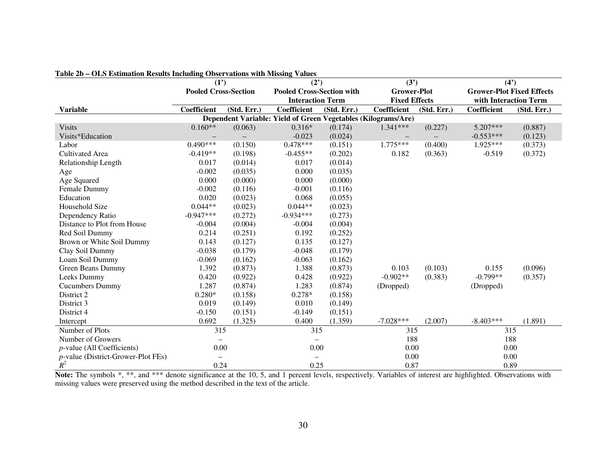| <b>FAULT 20</b> – OLD ESUMATION INCSURS INCREAMED ODSCI VARIOUS WITH PHISSING VARIOS | (2')<br>(1')                |             | (3')                                                          |             |                    | (4)                  |                                  |                       |
|--------------------------------------------------------------------------------------|-----------------------------|-------------|---------------------------------------------------------------|-------------|--------------------|----------------------|----------------------------------|-----------------------|
|                                                                                      | <b>Pooled Cross-Section</b> |             | <b>Pooled Cross-Section with</b>                              |             | <b>Grower-Plot</b> |                      | <b>Grower-Plot Fixed Effects</b> |                       |
|                                                                                      |                             |             | <b>Interaction Term</b>                                       |             |                    | <b>Fixed Effects</b> |                                  | with Interaction Term |
| <b>Variable</b>                                                                      | Coefficient                 | (Std. Err.) | Coefficient                                                   | (Std. Err.) | Coefficient        | (Std. Err.)          | Coefficient                      | (Std. Err.)           |
|                                                                                      |                             |             | Dependent Variable: Yield of Green Vegetables (Kilograms/Are) |             |                    |                      |                                  |                       |
| <b>Visits</b>                                                                        | $0.160**$                   | (0.063)     | $0.316*$                                                      | (0.174)     | $1.341***$         | (0.227)              | $5.207***$                       | (0.887)               |
| Visits*Education                                                                     |                             |             | $-0.023$                                                      | (0.024)     |                    |                      | $-0.553***$                      | (0.123)               |
| Labor                                                                                | $0.490***$                  | (0.150)     | $0.478***$                                                    | (0.151)     | 1.775***           | (0.400)              | 1.925***                         | (0.373)               |
| <b>Cultivated Area</b>                                                               | $-0.419**$                  | (0.198)     | $-0.455**$                                                    | (0.202)     | 0.182              | (0.363)              | $-0.519$                         | (0.372)               |
| Relationship Length                                                                  | 0.017                       | (0.014)     | 0.017                                                         | (0.014)     |                    |                      |                                  |                       |
| Age                                                                                  | $-0.002$                    | (0.035)     | 0.000                                                         | (0.035)     |                    |                      |                                  |                       |
| Age Squared                                                                          | 0.000                       | (0.000)     | 0.000                                                         | (0.000)     |                    |                      |                                  |                       |
| Female Dummy                                                                         | $-0.002$                    | (0.116)     | $-0.001$                                                      | (0.116)     |                    |                      |                                  |                       |
| Education                                                                            | 0.020                       | (0.023)     | 0.068                                                         | (0.055)     |                    |                      |                                  |                       |
| Household Size                                                                       | $0.044**$                   | (0.023)     | $0.044**$                                                     | (0.023)     |                    |                      |                                  |                       |
| Dependency Ratio                                                                     | $-0.947***$                 | (0.272)     | $-0.934***$                                                   | (0.273)     |                    |                      |                                  |                       |
| Distance to Plot from House                                                          | $-0.004$                    | (0.004)     | $-0.004$                                                      | (0.004)     |                    |                      |                                  |                       |
| Red Soil Dummy                                                                       | 0.214                       | (0.251)     | 0.192                                                         | (0.252)     |                    |                      |                                  |                       |
| Brown or White Soil Dummy                                                            | 0.143                       | (0.127)     | 0.135                                                         | (0.127)     |                    |                      |                                  |                       |
| Clay Soil Dummy                                                                      | $-0.038$                    | (0.179)     | $-0.048$                                                      | (0.179)     |                    |                      |                                  |                       |
| Loam Soil Dummy                                                                      | $-0.069$                    | (0.162)     | $-0.063$                                                      | (0.162)     |                    |                      |                                  |                       |
| Green Beans Dummy                                                                    | 1.392                       | (0.873)     | 1.388                                                         | (0.873)     | 0.103              | (0.103)              | 0.155                            | (0.096)               |
| Leeks Dummy                                                                          | 0.420                       | (0.922)     | 0.428                                                         | (0.922)     | $-0.902**$         | (0.383)              | $-0.799**$                       | (0.357)               |
| Cucumbers Dummy                                                                      | 1.287                       | (0.874)     | 1.283                                                         | (0.874)     | (Dropped)          |                      | (Dropped)                        |                       |
| District 2                                                                           | $0.280*$                    | (0.158)     | $0.278*$                                                      | (0.158)     |                    |                      |                                  |                       |
| District 3                                                                           | 0.019                       | (0.149)     | 0.010                                                         | (0.149)     |                    |                      |                                  |                       |
| District 4                                                                           | $-0.150$                    | (0.151)     | $-0.149$                                                      | (0.151)     |                    |                      |                                  |                       |
| Intercept                                                                            | 0.692                       | (1.325)     | 0.400                                                         | (1.359)     | $-7.028***$        | (2.007)              | $-8.403***$                      | (1.891)               |
| Number of Plots                                                                      | 315                         |             | 315                                                           |             | 315                |                      | 315                              |                       |
| Number of Growers                                                                    |                             |             |                                                               |             | 188                |                      | 188                              |                       |
| <i>p</i> -value (All Coefficients)                                                   | 0.00                        |             | 0.00                                                          |             | 0.00               |                      | 0.00                             |                       |
| <i>p</i> -value (District-Grower-Plot FEs)                                           | $\overline{\phantom{m}}$    |             | $\overline{\phantom{0}}$                                      |             | 0.00               |                      | 0.00                             |                       |
| $R^2$                                                                                | 0.24                        |             | 0.25                                                          |             | 0.87               |                      | 0.89                             |                       |

#### **Table 2b – OLS Estimation Results Including Observations with Missing Values**

Note: The symbols  $*, **$ , and  $***$  denote significance at the 10, 5, and 1 percent levels, respectively. Variables of interest are highlighted. Observations with missing values were preserved using the method described in the text of the article.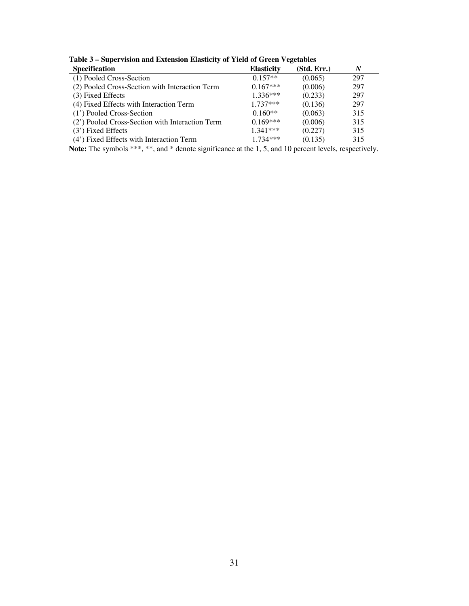| Table 3 – Supervision and Extension Elasticity of Yield of Green Vegetables |  |
|-----------------------------------------------------------------------------|--|
|-----------------------------------------------------------------------------|--|

| Table 5 – Supervision and Extension Erasticity of Tield of Green vegetables |                   |             |     |
|-----------------------------------------------------------------------------|-------------------|-------------|-----|
| <b>Specification</b>                                                        | <b>Elasticity</b> | (Std. Err.) |     |
| (1) Pooled Cross-Section                                                    | $0.157**$         | (0.065)     | 297 |
| (2) Pooled Cross-Section with Interaction Term                              | $0.167***$        | (0.006)     | 297 |
| (3) Fixed Effects                                                           | $1.336***$        | (0.233)     | 297 |
| (4) Fixed Effects with Interaction Term                                     | $1.737***$        | (0.136)     | 297 |
| (1') Pooled Cross-Section                                                   | $0.160**$         | (0.063)     | 315 |
| (2') Pooled Cross-Section with Interaction Term                             | $0.169***$        | (0.006)     | 315 |
| $(3')$ Fixed Effects                                                        | $1.341***$        | (0.227)     | 315 |
| (4') Fixed Effects with Interaction Term                                    | $1.734***$        | (0.135)     | 315 |

Note: The symbols \*\*\*, \*\*, and \* denote significance at the 1, 5, and 10 percent levels, respectively.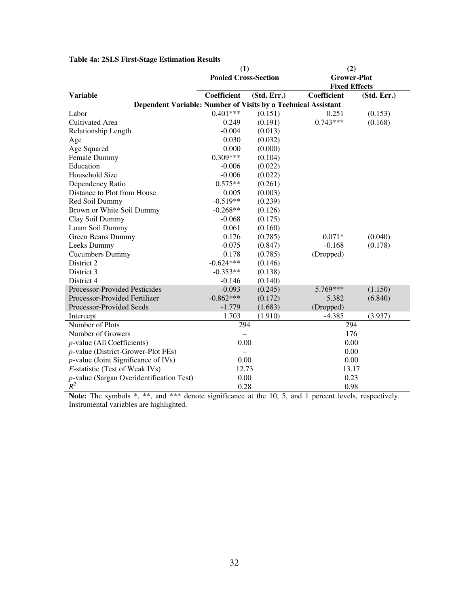|                                                               | (1)                         |             | (2)                                        |             |  |
|---------------------------------------------------------------|-----------------------------|-------------|--------------------------------------------|-------------|--|
|                                                               | <b>Pooled Cross-Section</b> |             | <b>Grower-Plot</b><br><b>Fixed Effects</b> |             |  |
| <b>Variable</b>                                               | Coefficient                 | (Std. Err.) | Coefficient                                | (Std. Err.) |  |
| Dependent Variable: Number of Visits by a Technical Assistant |                             |             |                                            |             |  |
| Labor                                                         | $0.401***$                  | (0.151)     | 0.251                                      | (0.153)     |  |
| <b>Cultivated Area</b>                                        | 0.249                       | (0.191)     | $0.743***$                                 | (0.168)     |  |
| Relationship Length                                           | $-0.004$                    | (0.013)     |                                            |             |  |
| Age                                                           | 0.030                       | (0.032)     |                                            |             |  |
| Age Squared                                                   | 0.000                       | (0.000)     |                                            |             |  |
| Female Dummy                                                  | $0.309***$                  | (0.104)     |                                            |             |  |
| Education                                                     | $-0.006$                    | (0.022)     |                                            |             |  |
| Household Size                                                | $-0.006$                    | (0.022)     |                                            |             |  |
| Dependency Ratio                                              | $0.575**$                   | (0.261)     |                                            |             |  |
| Distance to Plot from House                                   | 0.005                       | (0.003)     |                                            |             |  |
| Red Soil Dummy                                                | $-0.519**$                  | (0.239)     |                                            |             |  |
| Brown or White Soil Dummy                                     | $-0.268**$                  | (0.126)     |                                            |             |  |
| Clay Soil Dummy                                               | $-0.068$                    | (0.175)     |                                            |             |  |
| Loam Soil Dummy                                               | 0.061                       | (0.160)     |                                            |             |  |
| Green Beans Dummy                                             | 0.176                       | (0.785)     | $0.071*$                                   | (0.040)     |  |
| Leeks Dummy                                                   | $-0.075$                    | (0.847)     | $-0.168$                                   | (0.178)     |  |
| <b>Cucumbers Dummy</b>                                        | 0.178                       | (0.785)     | (Dropped)                                  |             |  |
| District 2                                                    | $-0.624***$                 | (0.146)     |                                            |             |  |
| District 3                                                    | $-0.353**$                  | (0.138)     |                                            |             |  |
| District 4                                                    | $-0.146$                    | (0.140)     |                                            |             |  |
| Processor-Provided Pesticides                                 | $-0.093$                    | (0.245)     | 5.769***                                   | (1.150)     |  |
| Processor-Provided Fertilizer                                 | $-0.862***$                 | (0.172)     | 5.382                                      | (6.840)     |  |
| Processor-Provided Seeds                                      | $-1.779$                    | (1.683)     | (Dropped)                                  |             |  |
| Intercept                                                     | 1.703                       | (1.910)     | $-4.385$                                   | (3.937)     |  |
| Number of Plots                                               | 294                         |             | 294                                        |             |  |
| Number of Growers                                             |                             |             | 176                                        |             |  |
| <i>p</i> -value (All Coefficients)                            | 0.00                        |             | 0.00                                       |             |  |
| <i>p</i> -value (District-Grower-Plot FEs)                    |                             |             | 0.00                                       |             |  |
| $p$ -value (Joint Significance of IVs)                        | 0.00                        |             | 0.00                                       |             |  |
| F-statistic (Test of Weak IVs)                                | 12.73                       |             | 13.17                                      |             |  |
| <i>p</i> -value (Sargan Overidentification Test)              | 0.00                        |             | 0.23                                       |             |  |
| $R^2$                                                         | 0.28                        |             | 0.98                                       |             |  |

## **Table 4a: 2SLS First-Stage Estimation Results**

Note: The symbols  $*,$   $**$ , and  $***$  denote significance at the 10, 5, and 1 percent levels, respectively. Instrumental variables are highlighted.